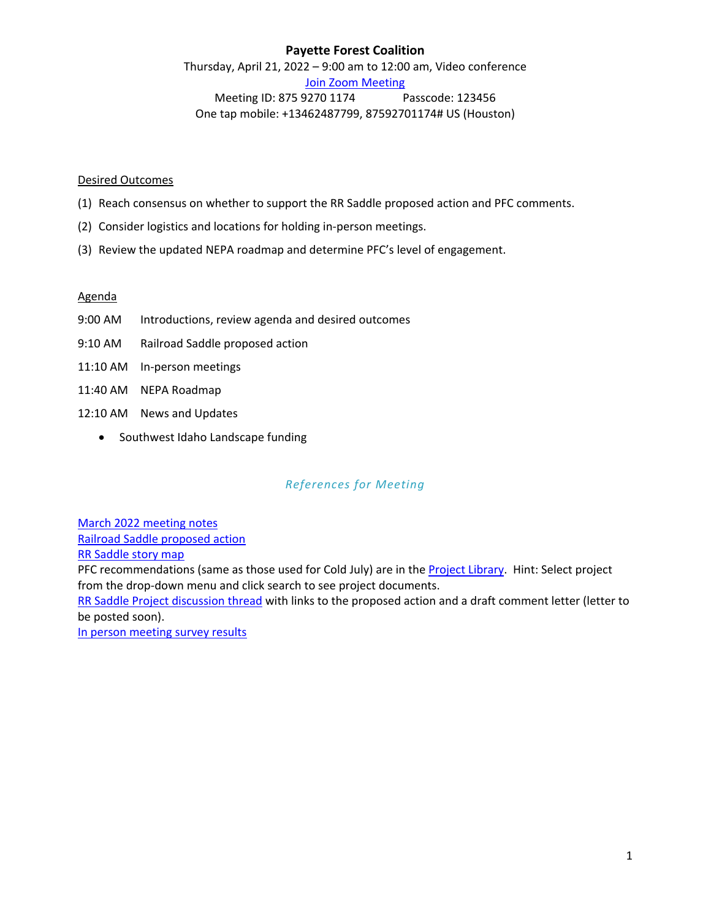# **Payette Forest Coalition**

Thursday, April 21, 2022 – 9:00 am to 12:00 am, Video conference [Join Zoom Meeting](https://us02web.zoom.us/j/87592701174?pwd=UUxKZmhORlVGbGw1aHJGT1YrOGJPUT09) Meeting ID: 875 9270 1174 Passcode: 123456 One tap mobile: +13462487799, 87592701174# US (Houston)

#### Desired Outcomes

- (1) Reach consensus on whether to support the RR Saddle proposed action and PFC comments.
- (2) Consider logistics and locations for holding in-person meetings.
- (3) Review the updated NEPA roadmap and determine PFC's level of engagement.

#### Agenda

- 9:00 AM Introductions, review agenda and desired outcomes
- 9:10 AM Railroad Saddle proposed action
- 11:10 AM In-person meetings
- 11:40 AM NEPA Roadmap
- 12:10 AM News and Updates
	- Southwest Idaho Landscape funding

# *References for Meeting*

[March 2022 meeting notes](http://www.payetteforestcoalition.org/meetingnotes.html) [Railroad Saddle proposed action](https://www.fs.usda.gov/project/?project=61229)

[RR Saddle story map](https://arcg.is/1HHiPO)

PFC recommendations (same as those used for Cold July) are in the [Project Library](http://payetteforestcoalition.org/project-archive.html). Hint: Select project from the drop-down menu and click search to see project documents.

[RR Saddle Project discussion thread](http://payetteforestcoalition.org/payetteforward.html) with links to the proposed action and a draft comment letter (letter to be posted soon).

[In person meeting survey results](https://le.sitekreator.com/Tools/file_direct_link.html?id=ODc4MzY0LDE4NDE4NDA1Mjk)